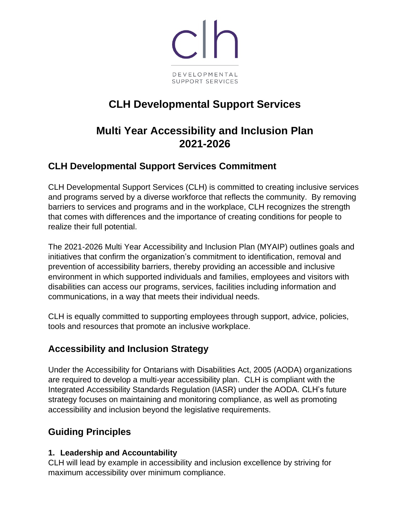

# **CLH Developmental Support Services**

# **Multi Year Accessibility and Inclusion Plan 2021-2026**

### **CLH Developmental Support Services Commitment**

CLH Developmental Support Services (CLH) is committed to creating inclusive services and programs served by a diverse workforce that reflects the community. By removing barriers to services and programs and in the workplace, CLH recognizes the strength that comes with differences and the importance of creating conditions for people to realize their full potential.

The 2021-2026 Multi Year Accessibility and Inclusion Plan (MYAIP) outlines goals and initiatives that confirm the organization's commitment to identification, removal and prevention of accessibility barriers, thereby providing an accessible and inclusive environment in which supported individuals and families, employees and visitors with disabilities can access our programs, services, facilities including information and communications, in a way that meets their individual needs.

CLH is equally committed to supporting employees through support, advice, policies, tools and resources that promote an inclusive workplace.

#### **Accessibility and Inclusion Strategy**

Under the Accessibility for Ontarians with Disabilities Act, 2005 (AODA) organizations are required to develop a multi-year accessibility plan. CLH is compliant with the Integrated Accessibility Standards Regulation (IASR) under the AODA. CLH's future strategy focuses on maintaining and monitoring compliance, as well as promoting accessibility and inclusion beyond the legislative requirements.

## **Guiding Principles**

#### **1. Leadership and Accountability**

CLH will lead by example in accessibility and inclusion excellence by striving for maximum accessibility over minimum compliance.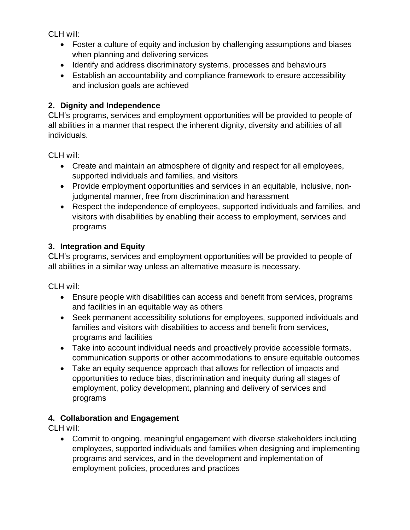CLH will:

- Foster a culture of equity and inclusion by challenging assumptions and biases when planning and delivering services
- Identify and address discriminatory systems, processes and behaviours
- Establish an accountability and compliance framework to ensure accessibility and inclusion goals are achieved

#### **2. Dignity and Independence**

CLH's programs, services and employment opportunities will be provided to people of all abilities in a manner that respect the inherent dignity, diversity and abilities of all individuals.

CLH will:

- Create and maintain an atmosphere of dignity and respect for all employees, supported individuals and families, and visitors
- Provide employment opportunities and services in an equitable, inclusive, nonjudgmental manner, free from discrimination and harassment
- Respect the independence of employees, supported individuals and families, and visitors with disabilities by enabling their access to employment, services and programs

#### **3. Integration and Equity**

CLH's programs, services and employment opportunities will be provided to people of all abilities in a similar way unless an alternative measure is necessary.

CLH will:

- Ensure people with disabilities can access and benefit from services, programs and facilities in an equitable way as others
- Seek permanent accessibility solutions for employees, supported individuals and families and visitors with disabilities to access and benefit from services, programs and facilities
- Take into account individual needs and proactively provide accessible formats, communication supports or other accommodations to ensure equitable outcomes
- Take an equity sequence approach that allows for reflection of impacts and opportunities to reduce bias, discrimination and inequity during all stages of employment, policy development, planning and delivery of services and programs

#### **4. Collaboration and Engagement**

CLH will:

• Commit to ongoing, meaningful engagement with diverse stakeholders including employees, supported individuals and families when designing and implementing programs and services, and in the development and implementation of employment policies, procedures and practices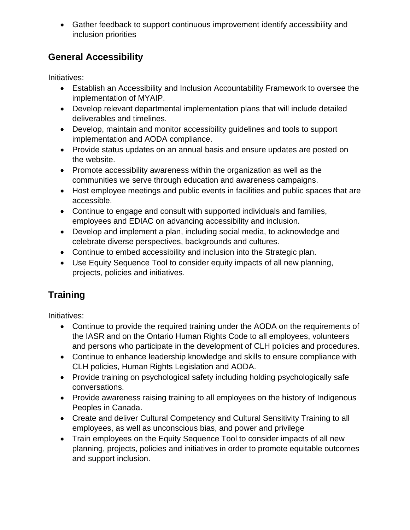• Gather feedback to support continuous improvement identify accessibility and inclusion priorities

## **General Accessibility**

Initiatives:

- Establish an Accessibility and Inclusion Accountability Framework to oversee the implementation of MYAIP.
- Develop relevant departmental implementation plans that will include detailed deliverables and timelines.
- Develop, maintain and monitor accessibility guidelines and tools to support implementation and AODA compliance.
- Provide status updates on an annual basis and ensure updates are posted on the website.
- Promote accessibility awareness within the organization as well as the communities we serve through education and awareness campaigns.
- Host employee meetings and public events in facilities and public spaces that are accessible.
- Continue to engage and consult with supported individuals and families, employees and EDIAC on advancing accessibility and inclusion.
- Develop and implement a plan, including social media, to acknowledge and celebrate diverse perspectives, backgrounds and cultures.
- Continue to embed accessibility and inclusion into the Strategic plan.
- Use Equity Sequence Tool to consider equity impacts of all new planning, projects, policies and initiatives.

# **Training**

Initiatives:

- Continue to provide the required training under the AODA on the requirements of the IASR and on the Ontario Human Rights Code to all employees, volunteers and persons who participate in the development of CLH policies and procedures.
- Continue to enhance leadership knowledge and skills to ensure compliance with CLH policies, Human Rights Legislation and AODA.
- Provide training on psychological safety including holding psychologically safe conversations.
- Provide awareness raising training to all employees on the history of Indigenous Peoples in Canada.
- Create and deliver Cultural Competency and Cultural Sensitivity Training to all employees, as well as unconscious bias, and power and privilege
- Train employees on the Equity Sequence Tool to consider impacts of all new planning, projects, policies and initiatives in order to promote equitable outcomes and support inclusion.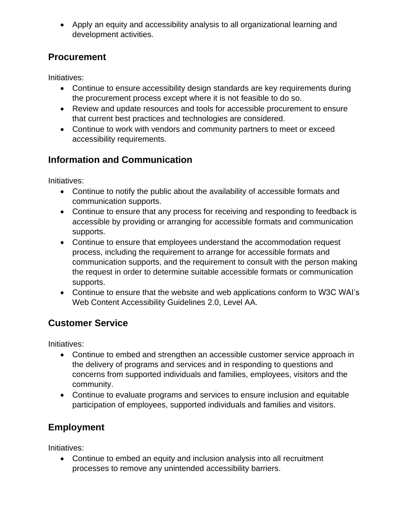• Apply an equity and accessibility analysis to all organizational learning and development activities.

### **Procurement**

Initiatives:

- Continue to ensure accessibility design standards are key requirements during the procurement process except where it is not feasible to do so.
- Review and update resources and tools for accessible procurement to ensure that current best practices and technologies are considered.
- Continue to work with vendors and community partners to meet or exceed accessibility requirements.

## **Information and Communication**

Initiatives:

- Continue to notify the public about the availability of accessible formats and communication supports.
- Continue to ensure that any process for receiving and responding to feedback is accessible by providing or arranging for accessible formats and communication supports.
- Continue to ensure that employees understand the accommodation request process, including the requirement to arrange for accessible formats and communication supports, and the requirement to consult with the person making the request in order to determine suitable accessible formats or communication supports.
- Continue to ensure that the website and web applications conform to W3C WAI's Web Content Accessibility Guidelines 2.0, Level AA.

# **Customer Service**

Initiatives:

- Continue to embed and strengthen an accessible customer service approach in the delivery of programs and services and in responding to questions and concerns from supported individuals and families, employees, visitors and the community.
- Continue to evaluate programs and services to ensure inclusion and equitable participation of employees, supported individuals and families and visitors.

# **Employment**

Initiatives:

• Continue to embed an equity and inclusion analysis into all recruitment processes to remove any unintended accessibility barriers.